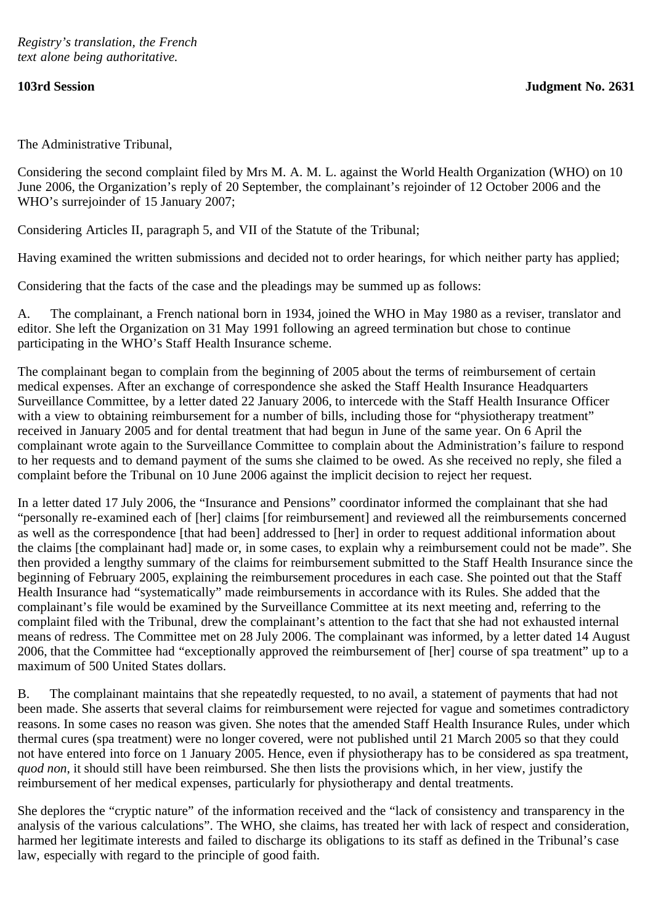The Administrative Tribunal,

Considering the second complaint filed by Mrs M. A. M. L. against the World Health Organization (WHO) on 10 June 2006, the Organization's reply of 20 September, the complainant's rejoinder of 12 October 2006 and the WHO's surrejoinder of 15 January 2007;

Considering Articles II, paragraph 5, and VII of the Statute of the Tribunal;

Having examined the written submissions and decided not to order hearings, for which neither party has applied;

Considering that the facts of the case and the pleadings may be summed up as follows:

A. The complainant, a French national born in 1934, joined the WHO in May 1980 as a reviser, translator and editor. She left the Organization on 31 May 1991 following an agreed termination but chose to continue participating in the WHO's Staff Health Insurance scheme.

The complainant began to complain from the beginning of 2005 about the terms of reimbursement of certain medical expenses. After an exchange of correspondence she asked the Staff Health Insurance Headquarters Surveillance Committee, by a letter dated 22 January 2006, to intercede with the Staff Health Insurance Officer with a view to obtaining reimbursement for a number of bills, including those for "physiotherapy treatment" received in January 2005 and for dental treatment that had begun in June of the same year. On 6 April the complainant wrote again to the Surveillance Committee to complain about the Administration's failure to respond to her requests and to demand payment of the sums she claimed to be owed. As she received no reply, she filed a complaint before the Tribunal on 10 June 2006 against the implicit decision to reject her request.

In a letter dated 17 July 2006, the "Insurance and Pensions" coordinator informed the complainant that she had "personally re-examined each of [her] claims [for reimbursement] and reviewed all the reimbursements concerned as well as the correspondence [that had been] addressed to [her] in order to request additional information about the claims [the complainant had] made or, in some cases, to explain why a reimbursement could not be made". She then provided a lengthy summary of the claims for reimbursement submitted to the Staff Health Insurance since the beginning of February 2005, explaining the reimbursement procedures in each case. She pointed out that the Staff Health Insurance had "systematically" made reimbursements in accordance with its Rules. She added that the complainant's file would be examined by the Surveillance Committee at its next meeting and, referring to the complaint filed with the Tribunal, drew the complainant's attention to the fact that she had not exhausted internal means of redress. The Committee met on 28 July 2006. The complainant was informed, by a letter dated 14 August 2006, that the Committee had "exceptionally approved the reimbursement of [her] course of spa treatment" up to a maximum of 500 United States dollars.

B. The complainant maintains that she repeatedly requested, to no avail, a statement of payments that had not been made. She asserts that several claims for reimbursement were rejected for vague and sometimes contradictory reasons. In some cases no reason was given. She notes that the amended Staff Health Insurance Rules, under which thermal cures (spa treatment) were no longer covered, were not published until 21 March 2005 so that they could not have entered into force on 1 January 2005. Hence, even if physiotherapy has to be considered as spa treatment, *quod non*, it should still have been reimbursed. She then lists the provisions which, in her view, justify the reimbursement of her medical expenses, particularly for physiotherapy and dental treatments.

She deplores the "cryptic nature" of the information received and the "lack of consistency and transparency in the analysis of the various calculations". The WHO, she claims, has treated her with lack of respect and consideration, harmed her legitimate interests and failed to discharge its obligations to its staff as defined in the Tribunal's case law, especially with regard to the principle of good faith.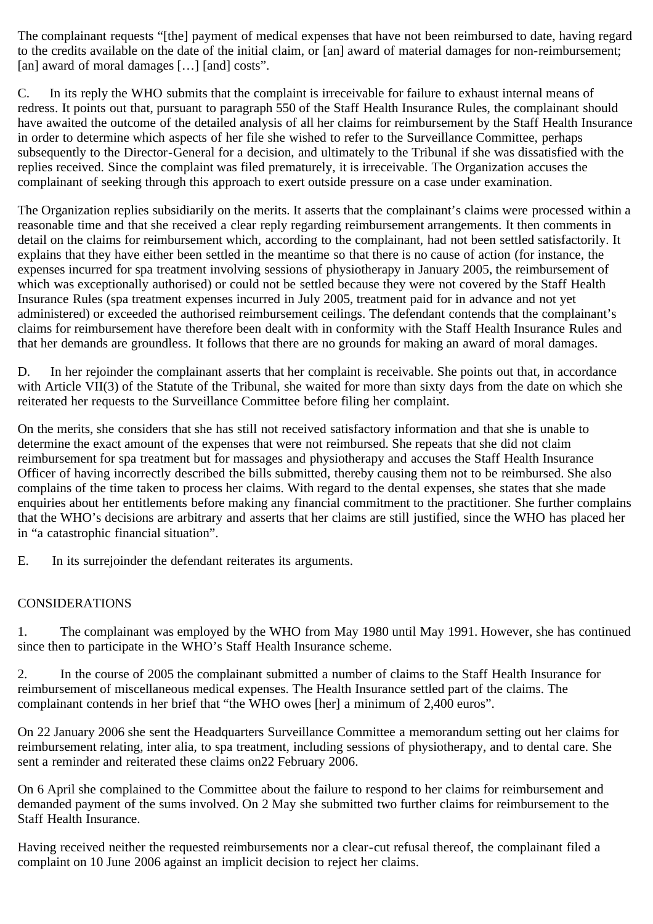The complainant requests "[the] payment of medical expenses that have not been reimbursed to date, having regard to the credits available on the date of the initial claim, or [an] award of material damages for non-reimbursement; [an] award of moral damages [...] [and] costs".

C. In its reply the WHO submits that the complaint is irreceivable for failure to exhaust internal means of redress. It points out that, pursuant to paragraph 550 of the Staff Health Insurance Rules, the complainant should have awaited the outcome of the detailed analysis of all her claims for reimbursement by the Staff Health Insurance in order to determine which aspects of her file she wished to refer to the Surveillance Committee, perhaps subsequently to the Director-General for a decision, and ultimately to the Tribunal if she was dissatisfied with the replies received. Since the complaint was filed prematurely, it is irreceivable. The Organization accuses the complainant of seeking through this approach to exert outside pressure on a case under examination.

The Organization replies subsidiarily on the merits. It asserts that the complainant's claims were processed within a reasonable time and that she received a clear reply regarding reimbursement arrangements. It then comments in detail on the claims for reimbursement which, according to the complainant, had not been settled satisfactorily. It explains that they have either been settled in the meantime so that there is no cause of action (for instance, the expenses incurred for spa treatment involving sessions of physiotherapy in January 2005, the reimbursement of which was exceptionally authorised) or could not be settled because they were not covered by the Staff Health Insurance Rules (spa treatment expenses incurred in July 2005, treatment paid for in advance and not yet administered) or exceeded the authorised reimbursement ceilings. The defendant contends that the complainant's claims for reimbursement have therefore been dealt with in conformity with the Staff Health Insurance Rules and that her demands are groundless. It follows that there are no grounds for making an award of moral damages.

D. In her rejoinder the complainant asserts that her complaint is receivable. She points out that, in accordance with Article VII(3) of the Statute of the Tribunal, she waited for more than sixty days from the date on which she reiterated her requests to the Surveillance Committee before filing her complaint.

On the merits, she considers that she has still not received satisfactory information and that she is unable to determine the exact amount of the expenses that were not reimbursed. She repeats that she did not claim reimbursement for spa treatment but for massages and physiotherapy and accuses the Staff Health Insurance Officer of having incorrectly described the bills submitted, thereby causing them not to be reimbursed. She also complains of the time taken to process her claims. With regard to the dental expenses, she states that she made enquiries about her entitlements before making any financial commitment to the practitioner. She further complains that the WHO's decisions are arbitrary and asserts that her claims are still justified, since the WHO has placed her in "a catastrophic financial situation".

E. In its surrejoinder the defendant reiterates its arguments.

## CONSIDERATIONS

1. The complainant was employed by the WHO from May 1980 until May 1991. However, she has continued since then to participate in the WHO's Staff Health Insurance scheme.

2. In the course of 2005 the complainant submitted a number of claims to the Staff Health Insurance for reimbursement of miscellaneous medical expenses. The Health Insurance settled part of the claims. The complainant contends in her brief that "the WHO owes [her] a minimum of 2,400 euros".

On 22 January 2006 she sent the Headquarters Surveillance Committee a memorandum setting out her claims for reimbursement relating, inter alia, to spa treatment, including sessions of physiotherapy, and to dental care. She sent a reminder and reiterated these claims on22 February 2006.

On 6 April she complained to the Committee about the failure to respond to her claims for reimbursement and demanded payment of the sums involved. On 2 May she submitted two further claims for reimbursement to the Staff Health Insurance.

Having received neither the requested reimbursements nor a clear-cut refusal thereof, the complainant filed a complaint on 10 June 2006 against an implicit decision to reject her claims.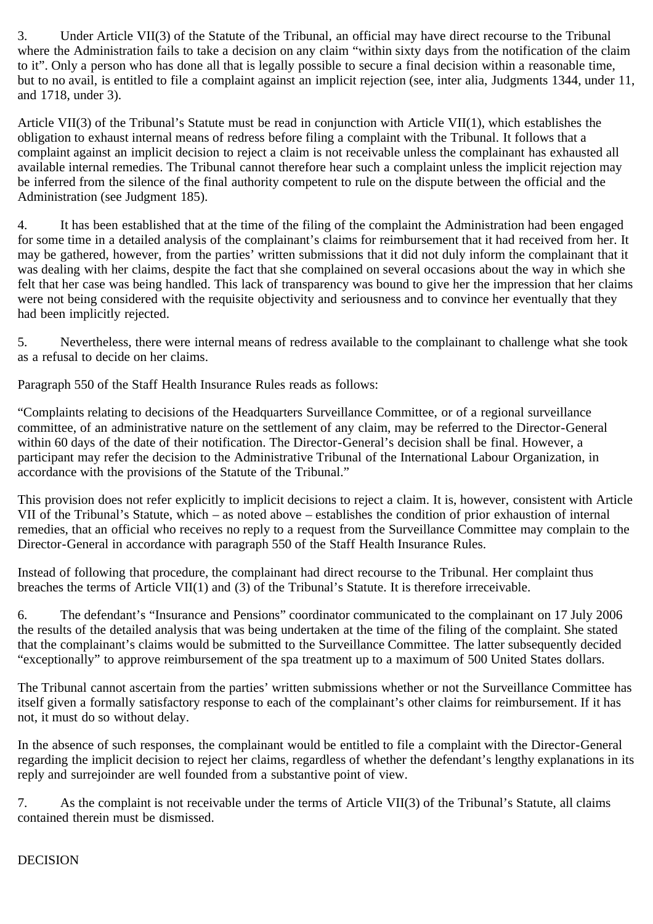3. Under Article VII(3) of the Statute of the Tribunal, an official may have direct recourse to the Tribunal where the Administration fails to take a decision on any claim "within sixty days from the notification of the claim to it". Only a person who has done all that is legally possible to secure a final decision within a reasonable time, but to no avail, is entitled to file a complaint against an implicit rejection (see, inter alia, Judgments 1344, under 11, and 1718, under 3).

Article VII(3) of the Tribunal's Statute must be read in conjunction with Article VII(1), which establishes the obligation to exhaust internal means of redress before filing a complaint with the Tribunal. It follows that a complaint against an implicit decision to reject a claim is not receivable unless the complainant has exhausted all available internal remedies. The Tribunal cannot therefore hear such a complaint unless the implicit rejection may be inferred from the silence of the final authority competent to rule on the dispute between the official and the Administration (see Judgment 185).

4. It has been established that at the time of the filing of the complaint the Administration had been engaged for some time in a detailed analysis of the complainant's claims for reimbursement that it had received from her. It may be gathered, however, from the parties' written submissions that it did not duly inform the complainant that it was dealing with her claims, despite the fact that she complained on several occasions about the way in which she felt that her case was being handled. This lack of transparency was bound to give her the impression that her claims were not being considered with the requisite objectivity and seriousness and to convince her eventually that they had been implicitly rejected.

5. Nevertheless, there were internal means of redress available to the complainant to challenge what she took as a refusal to decide on her claims.

Paragraph 550 of the Staff Health Insurance Rules reads as follows:

"Complaints relating to decisions of the Headquarters Surveillance Committee, or of a regional surveillance committee, of an administrative nature on the settlement of any claim, may be referred to the Director-General within 60 days of the date of their notification. The Director-General's decision shall be final. However, a participant may refer the decision to the Administrative Tribunal of the International Labour Organization, in accordance with the provisions of the Statute of the Tribunal."

This provision does not refer explicitly to implicit decisions to reject a claim. It is, however, consistent with Article VII of the Tribunal's Statute, which – as noted above – establishes the condition of prior exhaustion of internal remedies, that an official who receives no reply to a request from the Surveillance Committee may complain to the Director-General in accordance with paragraph 550 of the Staff Health Insurance Rules.

Instead of following that procedure, the complainant had direct recourse to the Tribunal. Her complaint thus breaches the terms of Article VII(1) and (3) of the Tribunal's Statute. It is therefore irreceivable.

6. The defendant's "Insurance and Pensions" coordinator communicated to the complainant on 17 July 2006 the results of the detailed analysis that was being undertaken at the time of the filing of the complaint. She stated that the complainant's claims would be submitted to the Surveillance Committee. The latter subsequently decided "exceptionally" to approve reimbursement of the spa treatment up to a maximum of 500 United States dollars.

The Tribunal cannot ascertain from the parties' written submissions whether or not the Surveillance Committee has itself given a formally satisfactory response to each of the complainant's other claims for reimbursement. If it has not, it must do so without delay.

In the absence of such responses, the complainant would be entitled to file a complaint with the Director-General regarding the implicit decision to reject her claims, regardless of whether the defendant's lengthy explanations in its reply and surrejoinder are well founded from a substantive point of view.

7. As the complaint is not receivable under the terms of Article VII(3) of the Tribunal's Statute, all claims contained therein must be dismissed.

## DECISION